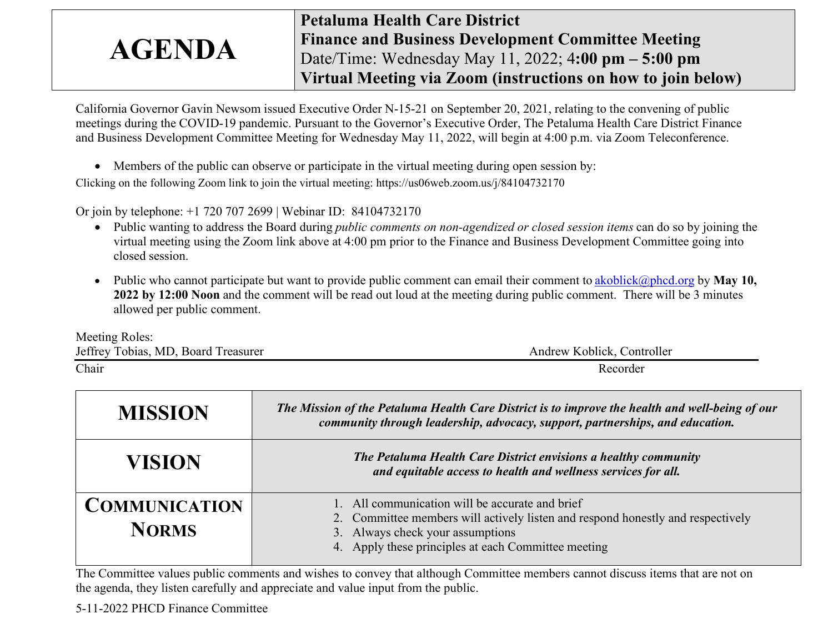## AGENDA Petaluma Health Care District Finance and Business Development Committee Meeting Date/Time: Wednesday May 11, 2022; 4:00 pm – 5:00 pm Virtual Meeting via Zoom (instructions on how to join below)

California Governor Gavin Newsom issued Executive Order N-15-21 on September 20, 2021, relating to the convening of public meetings during the COVID-19 pandemic. Pursuant to the Governor's Executive Order, The Petaluma Health Care District Finance and Business Development Committee Meeting for Wednesday May 11, 2022, will begin at 4:00 p.m. via Zoom Teleconference.

Members of the public can observe or participate in the virtual meeting during open session by:

Clicking on the following Zoom link to join the virtual meeting: https://us06web.zoom.us/j/84104732170

Or join by telephone: +1 720 707 2699 | Webinar ID: 84104732170

- Public wanting to address the Board during *public comments on non-agendized or closed session items* can do so by joining the virtual meeting using the Zoom link above at 4:00 pm prior to the Finance and Business Development Committee going into closed session.
- Public who cannot participate but want to provide public comment can email their comment to akoblick@phcd.org by May 10, 2022 by 12:00 Noon and the comment will be read out loud at the meeting during public comment. There will be 3 minutes allowed per public comment.

Meeting Roles: Jeffrey Tobias, MD, Board Treasurer Andrew Koblick, Controller Chair Recorder

| <b>MISSION</b>                       | The Mission of the Petaluma Health Care District is to improve the health and well-being of our<br>community through leadership, advocacy, support, partnerships, and education.                                              |  |  |  |
|--------------------------------------|-------------------------------------------------------------------------------------------------------------------------------------------------------------------------------------------------------------------------------|--|--|--|
| VISION                               | The Petaluma Health Care District envisions a healthy community<br>and equitable access to health and wellness services for all.                                                                                              |  |  |  |
| <b>COMMUNICATION</b><br><b>NORMS</b> | 1. All communication will be accurate and brief<br>2. Committee members will actively listen and respond honestly and respectively<br>3. Always check your assumptions<br>4. Apply these principles at each Committee meeting |  |  |  |

The Committee values public comments and wishes to convey that although Committee members cannot discuss items that are not on the agenda, they listen carefully and appreciate and value input from the public.

5-11-2022 PHCD Finance Committee 1